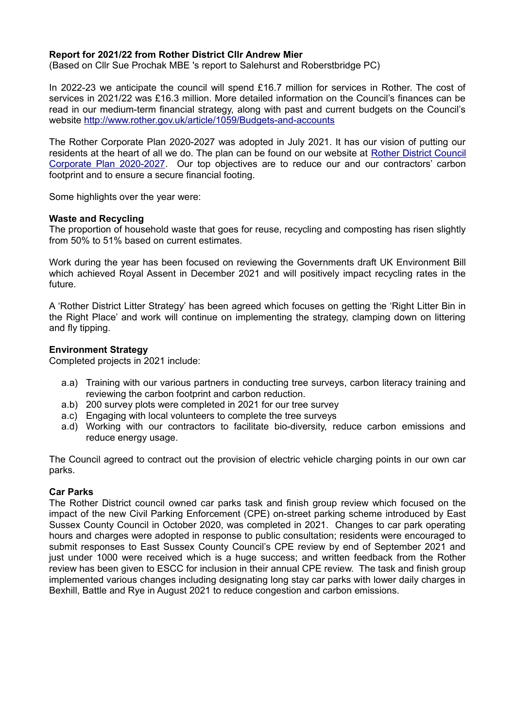## **Report for 2021/22 from Rother District Cllr Andrew Mier**

(Based on Cllr Sue Prochak MBE 's report to Salehurst and Roberstbridge PC)

In 2022-23 we anticipate the council will spend £16.7 million for services in Rother. The cost of services in 2021/22 was £16.3 million. More detailed information on the Council's finances can be read in our medium-term financial strategy, along with past and current budgets on the Council's website<http://www.rother.gov.uk/article/1059/Budgets-and-accounts>

The Rother Corporate Plan 2020-2027 was adopted in July 2021. It has our vision of putting our residents at the heart of all we do. The plan can be found on our website at [Rother District Council](https://www.rother.gov.uk/wp-content/uploads/2021/07/RDC-Corporate-Plan-2020-2027.pdf) [Corporate Plan 2020-2027.](https://www.rother.gov.uk/wp-content/uploads/2021/07/RDC-Corporate-Plan-2020-2027.pdf) Our top objectives are to reduce our and our contractors' carbon footprint and to ensure a secure financial footing.

Some highlights over the year were:

### **Waste and Recycling**

The proportion of household waste that goes for reuse, recycling and composting has risen slightly from 50% to 51% based on current estimates.

Work during the year has been focused on reviewing the Governments draft UK Environment Bill which achieved Royal Assent in December 2021 and will positively impact recycling rates in the future.

A 'Rother District Litter Strategy' has been agreed which focuses on getting the 'Right Litter Bin in the Right Place' and work will continue on implementing the strategy, clamping down on littering and fly tipping.

### **Environment Strategy**

Completed projects in 2021 include:

- a.a) Training with our various partners in conducting tree surveys, carbon literacy training and reviewing the carbon footprint and carbon reduction.
- a.b) 200 survey plots were completed in 2021 for our tree survey
- a.c) Engaging with local volunteers to complete the tree surveys
- a.d) Working with our contractors to facilitate bio-diversity, reduce carbon emissions and reduce energy usage.

The Council agreed to contract out the provision of electric vehicle charging points in our own car parks.

### **Car Parks**

The Rother District council owned car parks task and finish group review which focused on the impact of the new Civil Parking Enforcement (CPE) on-street parking scheme introduced by East Sussex County Council in October 2020, was completed in 2021. Changes to car park operating hours and charges were adopted in response to public consultation; residents were encouraged to submit responses to East Sussex County Council's CPE review by end of September 2021 and just under 1000 were received which is a huge success; and written feedback from the Rother review has been given to ESCC for inclusion in their annual CPE review. The task and finish group implemented various changes including designating long stay car parks with lower daily charges in Bexhill, Battle and Rye in August 2021 to reduce congestion and carbon emissions.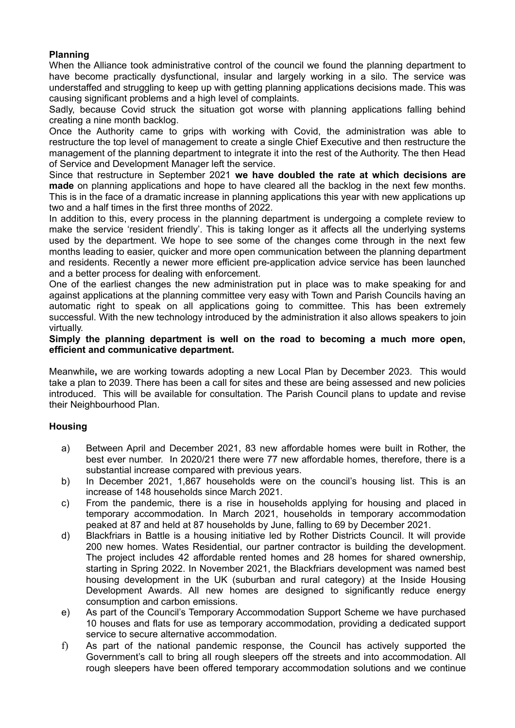## **Planning**

When the Alliance took administrative control of the council we found the planning department to have become practically dysfunctional, insular and largely working in a silo. The service was understaffed and struggling to keep up with getting planning applications decisions made. This was causing significant problems and a high level of complaints.

Sadly, because Covid struck the situation got worse with planning applications falling behind creating a nine month backlog.

Once the Authority came to grips with working with Covid, the administration was able to restructure the top level of management to create a single Chief Executive and then restructure the management of the planning department to integrate it into the rest of the Authority. The then Head of Service and Development Manager left the service.

Since that restructure in September 2021 **we have doubled the rate at which decisions are made** on planning applications and hope to have cleared all the backlog in the next few months. This is in the face of a dramatic increase in planning applications this year with new applications up two and a half times in the first three months of 2022.

In addition to this, every process in the planning department is undergoing a complete review to make the service 'resident friendly'. This is taking longer as it affects all the underlying systems used by the department. We hope to see some of the changes come through in the next few months leading to easier, quicker and more open communication between the planning department and residents. Recently a newer more efficient pre-application advice service has been launched and a better process for dealing with enforcement.

One of the earliest changes the new administration put in place was to make speaking for and against applications at the planning committee very easy with Town and Parish Councils having an automatic right to speak on all applications going to committee. This has been extremely successful. With the new technology introduced by the administration it also allows speakers to join virtually.

## **Simply the planning department is well on the road to becoming a much more open, efficient and communicative department.**

Meanwhile**,** we are working towards adopting a new Local Plan by December 2023. This would take a plan to 2039. There has been a call for sites and these are being assessed and new policies introduced. This will be available for consultation. The Parish Council plans to update and revise their Neighbourhood Plan.

# **Housing**

- a) Between April and December 2021, 83 new affordable homes were built in Rother, the best ever number. In 2020/21 there were 77 new affordable homes, therefore, there is a substantial increase compared with previous years.
- b) In December 2021, 1,867 households were on the council's housing list. This is an increase of 148 households since March 2021.
- c) From the pandemic, there is a rise in households applying for housing and placed in temporary accommodation. In March 2021, households in temporary accommodation peaked at 87 and held at 87 households by June, falling to 69 by December 2021.
- d) Blackfriars in Battle is a housing initiative led by Rother Districts Council. It will provide 200 new homes. Wates Residential, our partner contractor is building the development. The project includes 42 affordable rented homes and 28 homes for shared ownership, starting in Spring 2022. In November 2021, the Blackfriars development was named best housing development in the UK (suburban and rural category) at the Inside Housing Development Awards. All new homes are designed to significantly reduce energy consumption and carbon emissions.
- e) As part of the Council's Temporary Accommodation Support Scheme we have purchased 10 houses and flats for use as temporary accommodation, providing a dedicated support service to secure alternative accommodation.
- f) As part of the national pandemic response, the Council has actively supported the Government's call to bring all rough sleepers off the streets and into accommodation. All rough sleepers have been offered temporary accommodation solutions and we continue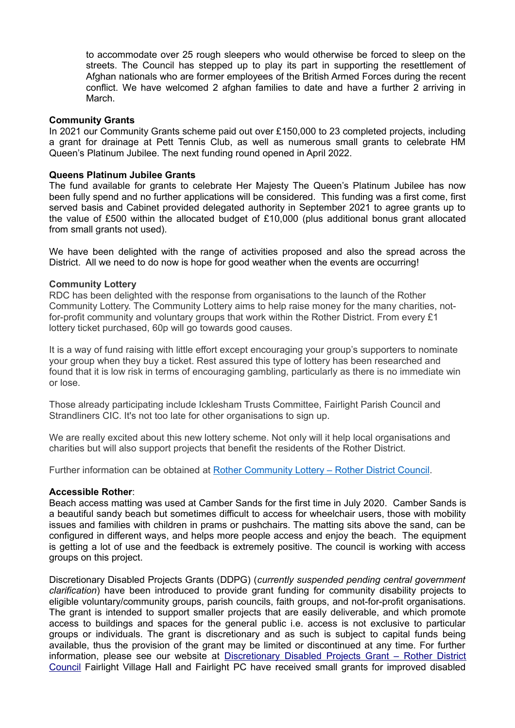to accommodate over 25 rough sleepers who would otherwise be forced to sleep on the streets. The Council has stepped up to play its part in supporting the resettlement of Afghan nationals who are former employees of the British Armed Forces during the recent conflict. We have welcomed 2 afghan families to date and have a further 2 arriving in March.

### **Community Grants**

In 2021 our Community Grants scheme paid out over £150,000 to 23 completed projects, including a grant for drainage at Pett Tennis Club, as well as numerous small grants to celebrate HM Queen's Platinum Jubilee. The next funding round opened in April 2022.

### **Queens Platinum Jubilee Grants**

The fund available for grants to celebrate Her Majesty The Queen's Platinum Jubilee has now been fully spend and no further applications will be considered. This funding was a first come, first served basis and Cabinet provided delegated authority in September 2021 to agree grants up to the value of £500 within the allocated budget of £10,000 (plus additional bonus grant allocated from small grants not used).

We have been delighted with the range of activities proposed and also the spread across the District. All we need to do now is hope for good weather when the events are occurring!

#### **Community Lottery**

RDC has been delighted with the response from organisations to the launch of the Rother Community Lottery. The Community Lottery aims to help raise money for the many charities, notfor-profit community and voluntary groups that work within the Rother District. From every £1 lottery ticket purchased, 60p will go towards good causes.

It is a way of fund raising with little effort except encouraging your group's supporters to nominate your group when they buy a ticket. Rest assured this type of lottery has been researched and found that it is low risk in terms of encouraging gambling, particularly as there is no immediate win or lose.

Those already participating include Icklesham Trusts Committee, Fairlight Parish Council and Strandliners CIC. It's not too late for other organisations to sign up.

We are really excited about this new lottery scheme. Not only will it help local organisations and charities but will also support projects that benefit the residents of the Rother District.

Further information can be obtained at [Rother Community Lottery – Rother District Council.](https://www.rother.gov.uk/benefits-grants-and-funding/community-grants-scheme/rother-community-lottery/)

#### **Accessible Rother**:

Beach access matting was used at Camber Sands for the first time in July 2020. Camber Sands is a beautiful sandy beach but sometimes difficult to access for wheelchair users, those with mobility issues and families with children in prams or pushchairs. The matting sits above the sand, can be configured in different ways, and helps more people access and enjoy the beach. The equipment is getting a lot of use and the feedback is extremely positive. The council is working with access groups on this project.

Discretionary Disabled Projects Grants (DDPG) (*currently suspended pending central government clarification*) have been introduced to provide grant funding for community disability projects to eligible voluntary/community groups, parish councils, faith groups, and not-for-profit organisations. The grant is intended to support smaller projects that are easily deliverable, and which promote access to buildings and spaces for the general public i.e. access is not exclusive to particular groups or individuals. The grant is discretionary and as such is subject to capital funds being available, thus the provision of the grant may be limited or discontinued at any time. For further information, please see our website at [Discretionary Disabled Projects Grant – Rother District](https://www.rother.gov.uk/housing/disabled-facilities-grants/discretionary-disabled-projects-grant/) [Council](https://www.rother.gov.uk/housing/disabled-facilities-grants/discretionary-disabled-projects-grant/) Fairlight Village Hall and Fairlight PC have received small grants for improved disabled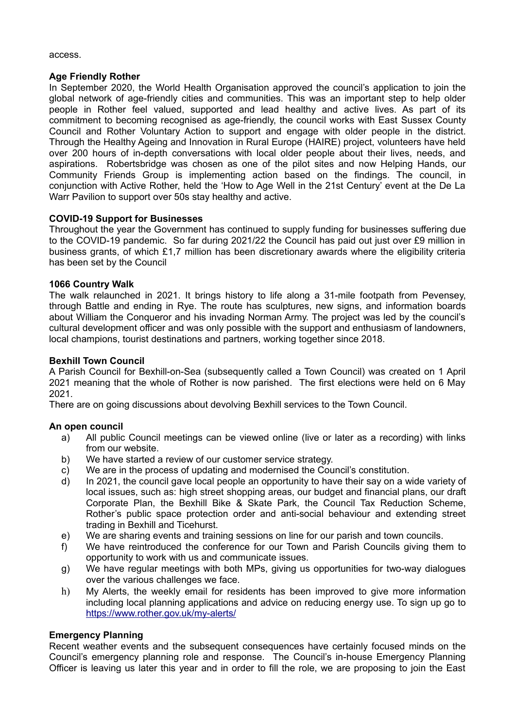#### access.

### **Age Friendly Rother**

In September 2020, the World Health Organisation approved the council's application to join the global network of age-friendly cities and communities. This was an important step to help older people in Rother feel valued, supported and lead healthy and active lives. As part of its commitment to becoming recognised as age-friendly, the council works with East Sussex County Council and Rother Voluntary Action to support and engage with older people in the district. Through the Healthy Ageing and Innovation in Rural Europe (HAIRE) project, volunteers have held over 200 hours of in-depth conversations with local older people about their lives, needs, and aspirations. Robertsbridge was chosen as one of the pilot sites and now Helping Hands, our Community Friends Group is implementing action based on the findings. The council, in conjunction with Active Rother, held the 'How to Age Well in the 21st Century' event at the De La Warr Pavilion to support over 50s stay healthy and active.

## **COVID-19 Support for Businesses**

Throughout the year the Government has continued to supply funding for businesses suffering due to the COVID-19 pandemic. So far during 2021/22 the Council has paid out just over £9 million in business grants, of which £1,7 million has been discretionary awards where the eligibility criteria has been set by the Council

## **1066 Country Walk**

The walk relaunched in 2021. It brings history to life along a 31-mile footpath from Pevensey, through Battle and ending in Rye. The route has sculptures, new signs, and information boards about William the Conqueror and his invading Norman Army. The project was led by the council's cultural development officer and was only possible with the support and enthusiasm of landowners, local champions, tourist destinations and partners, working together since 2018.

## **Bexhill Town Council**

A Parish Council for Bexhill-on-Sea (subsequently called a Town Council) was created on 1 April 2021 meaning that the whole of Rother is now parished. The first elections were held on 6 May 2021.

There are on going discussions about devolving Bexhill services to the Town Council.

## **An open council**

- a) All public Council meetings can be viewed online (live or later as a recording) with links from our website.
- b) We have started a review of our customer service strategy.
- c) We are in the process of updating and modernised the Council's constitution.
- d) In 2021, the council gave local people an opportunity to have their say on a wide variety of local issues, such as: high street shopping areas, our budget and financial plans, our draft Corporate Plan, the Bexhill Bike & Skate Park, the Council Tax Reduction Scheme, Rother's public space protection order and anti-social behaviour and extending street trading in Bexhill and Ticehurst.
- e) We are sharing events and training sessions on line for our parish and town councils.
- f) We have reintroduced the conference for our Town and Parish Councils giving them to opportunity to work with us and communicate issues.
- g) We have regular meetings with both MPs, giving us opportunities for two-way dialogues over the various challenges we face.
- h) My Alerts, the weekly email for residents has been improved to give more information including local planning applications and advice on reducing energy use. To sign up go to <https://www.rother.gov.uk/my-alerts/>

## **Emergency Planning**

Recent weather events and the subsequent consequences have certainly focused minds on the Council's emergency planning role and response. The Council's in-house Emergency Planning Officer is leaving us later this year and in order to fill the role, we are proposing to join the East